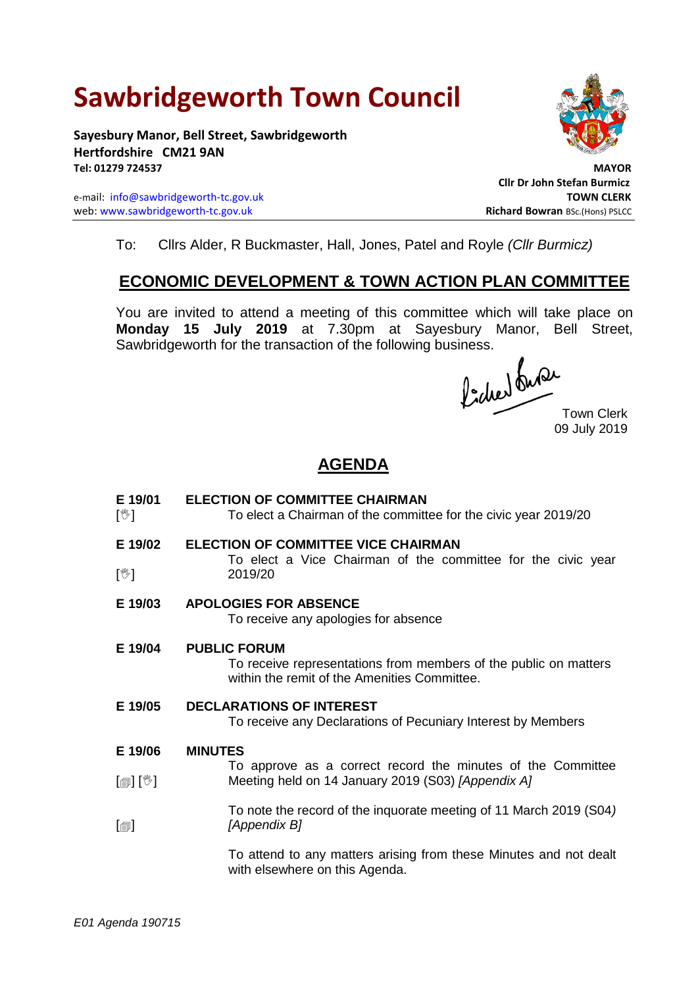# **Sawbridgeworth Town Council**

**Sayesbury Manor, Bell Street, Sawbridgeworth Hertfordshire CM21 9AN Tel: 01279 724537 MAYOR**

e-mail: [info@sawbridgeworth-tc.gov.uk](mailto:info@sawbridgeworth-tc.gov.uk) **TOWN CLERK** web: www.sawbridgeworth-tc.gov.uk<br> **Richard Bowran** BSc.(Hons) PSLCC



**Cllr Dr John Stefan Burmicz**

To: Cllrs Alder, R Buckmaster, Hall, Jones, Patel and Royle *(Cllr Burmicz)*

# **ECONOMIC DEVELOPMENT & TOWN ACTION PLAN COMMITTEE**

You are invited to attend a meeting of this committee which will take place on **Monday 15 July 2019** at 7.30pm at Sayesbury Manor, Bell Street, Sawbridgeworth for the transaction of the following business.<br>  $\int_{\mathbb{R}} f \cdot \sqrt{\mathsf{d} \mathsf{d} \mathsf{d} \mathsf{d} \mathsf{d} \mathsf{d} \mathsf{d} \mathsf{d} \mathsf{d} \mathsf{d} \mathsf{d} \mathsf{d} \mathsf{d} \mathsf{d} \mathsf{d} \mathsf{d} \mathsf{d} \mathsf{d} \mathsf{d} \mathsf{d} \mathsf{d} \mathsf{d} \mathsf{d} \mathsf{d$ 

Town Clerk 09 July 2019

# **AGENDA**

**E 19/01**  $\mathbb{N}$ **ELECTION OF COMMITTEE CHAIRMAN**  To elect a Chairman of the committee for the civic year 2019/20 **E 19/02**  $\sqrt{2}$ **ELECTION OF COMMITTEE VICE CHAIRMAN** To elect a Vice Chairman of the committee for the civic year 2019/20 **E 19/03 APOLOGIES FOR ABSENCE** To receive any apologies for absence **E 19/04 PUBLIC FORUM** To receive representations from members of the public on matters within the remit of the Amenities Committee. **E 19/05 DECLARATIONS OF INTEREST** To receive any Declarations of Pecuniary Interest by Members **E 19/06** [ [】 [》]  $\lceil$ **MINUTES** To approve as a correct record the minutes of the Committee Meeting held on 14 January 2019 (S03) *[Appendix A]* To note the record of the inquorate meeting of 11 March 2019 (S04*) [Appendix B]* To attend to any matters arising from these Minutes and not dealt with elsewhere on this Agenda.